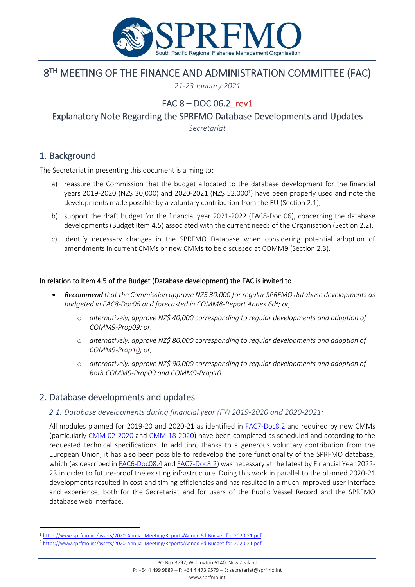

# 8 TH MEETING OF THE FINANCE AND ADMINISTRATION COMMITTEE (FAC)

*21-23 January 2021*

# FAC  $8 - DOC$  06.2 rev1

Explanatory Note Regarding the SPRFMO Database Developments and Updates

*Secretariat*

## 1. Background

The Secretariat in presenting this document is aiming to:

- a) reassure the Commission that the budget allocated to the database development for the financial years 2019-2020 (NZ\$ 30,000) and 2020-2021 (NZ\$ 52,000<sup>1</sup>) have been properly used and note the developments made possible by a voluntary contribution from the EU (Section 2.1),
- b) support the draft budget for the financial year 2021-2022 (FAC8-Doc 06), concerning the database developments (Budget Item 4.5) associated with the current needs of the Organisation (Section 2.2).
- c) identify necessary changes in the SPRFMO Database when considering potential adoption of amendments in current CMMs or new CMMs to be discussed at COMM9 (Section 2.3).

#### In relation to Item 4.5 of the Budget (Database development) the FAC is invited to

- *Recommend that the Commission approve NZ\$ 30,000 for regular SPRFMO database developments as budgeted in FAC8-Doc06 and forecasted in COMM8-Report Annex 6d<sup>2</sup> ; or,*
	- o *alternatively, approve NZ\$ 40,000 corresponding to regular developments and adoption of COMM9-Prop09; or,*
	- o *alternatively, approve NZ\$ 80,000 corresponding to regular developments and adoption of COMM9-Prop10; or,*
	- o *alternatively, approve NZ\$ 90,000 corresponding to regular developments and adoption of both COMM9-Prop09 and COMM9-Prop10.*

## 2. Database developments and updates

*2.1. Database developments during financial year (FY) 2019-2020 and 2020-2021:*

All modules planned for 2019-20 and 2020-21 as identified in [FAC7-Doc8.2](https://www.sprfmo.int/assets/2020-Annual-Meeting/FAC7-2020/Docs/FAC7-Doc08.2-Database-developments-proposals.pdf) and required by new CMMs (particularly [CMM 02-2020](https://www.sprfmo.int/assets/Fisheries/Conservation-and-Management-Measures/2020-CMMs/CMM-02-2020-Data-Standards-31Mar20.pdf) and [CMM 18-2020\)](https://www.sprfmo.int/assets/Fisheries/Conservation-and-Management-Measures/2020-CMMs/CMM-18-2020-Squid-31Mar20.pdf) have been completed as scheduled and according to the requested technical specifications. In addition, thanks to a generous voluntary contribution from the European Union, it has also been possible to redevelop the core functionality of the SPRFMO database, which (as described i[n FAC6-Doc08.4](https://www.sprfmo.int/assets/2019-Annual-Meeting/FAC-6/FAC6-Doc08.4-Explanatory-note-regarding-database-developments-and-update.pdf) and [FAC7-Doc8.2\)](https://www.sprfmo.int/assets/2020-Annual-Meeting/FAC7-2020/Docs/FAC7-Doc08.2-Database-developments-proposals.pdf) was necessary at the latest by Financial Year 2022- 23 in order to future-proof the existing infrastructure. Doing this work in parallel to the planned 2020-21 developments resulted in cost and timing efficiencies and has resulted in a much improved user interface and experience, both for the Secretariat and for users of the Public Vessel Record and the SPRFMO database web interface.

<sup>1</sup> <https://www.sprfmo.int/assets/2020-Annual-Meeting/Reports/Annex-6d-Budget-for-2020-21.pdf>

<sup>2</sup> <https://www.sprfmo.int/assets/2020-Annual-Meeting/Reports/Annex-6d-Budget-for-2020-21.pdf>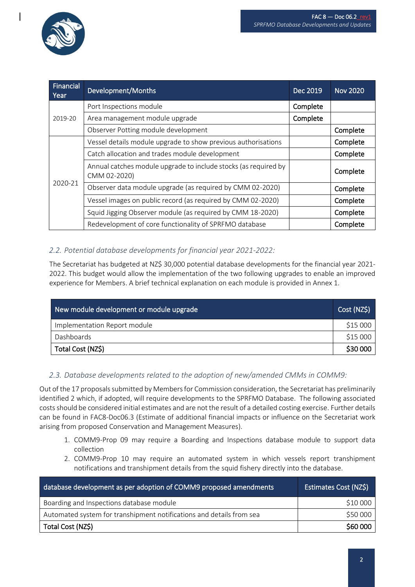

| Financial<br>Year | Development/Months                                                              | Dec 2019 | <b>Nov 2020</b> |
|-------------------|---------------------------------------------------------------------------------|----------|-----------------|
| 2019-20           | Port Inspections module                                                         | Complete |                 |
|                   | Area management module upgrade                                                  | Complete |                 |
|                   | Observer Potting module development                                             |          | Complete        |
| 2020-21           | Vessel details module upgrade to show previous authorisations                   |          | Complete        |
|                   | Catch allocation and trades module development                                  |          | Complete        |
|                   | Annual catches module upgrade to include stocks (as required by<br>CMM 02-2020) |          | Complete        |
|                   | Observer data module upgrade (as required by CMM 02-2020)                       |          | Complete        |
|                   | Vessel images on public record (as required by CMM 02-2020)                     |          | Complete        |
|                   | Squid Jigging Observer module (as required by CMM 18-2020)                      |          | Complete        |
|                   | Redevelopment of core functionality of SPRFMO database                          |          | Complete        |

### *2.2. Potential database developments for financial year 2021-2022:*

The Secretariat has budgeted at NZ\$ 30,000 potential database developments for the financial year 2021-2022. This budget would allow the implementation of the two following upgrades to enable an improved experience for Members. A brief technical explanation on each module is provided in Annex 1.

| New module development or module upgrade | Cost (NZ\$) |
|------------------------------------------|-------------|
| Implementation Report module             | \$15 000    |
| Dashboards                               | \$15 000    |
| Total Cost (NZ\$)                        |             |

### *2.3. Database developments related to the adoption of new/amended CMMs in COMM9:*

Out of the 17 proposals submitted by Members for Commission consideration, the Secretariat has preliminarily identified 2 which, if adopted, will require developments to the SPRFMO Database. The following associated costs should be considered initial estimates and are not the result of a detailed costing exercise. Further details can be found in FAC8-Doc06.3 (Estimate of additional financial impacts or influence on the Secretariat work arising from proposed Conservation and Management Measures).

- 1. COMM9-Prop 09 may require a Boarding and Inspections database module to support data collection
- 2. COMM9-Prop 10 may require an automated system in which vessels report transhipment notifications and transhipment details from the squid fishery directly into the database.

| database development as per adoption of COMM9 proposed amendments    | Estimates Cost (NZ\$) |
|----------------------------------------------------------------------|-----------------------|
| Boarding and Inspections database module                             | \$10 000              |
| Automated system for transhipment notifications and details from sea | \$50 000              |
| Total Cost (NZ\$)                                                    | \$60 000              |